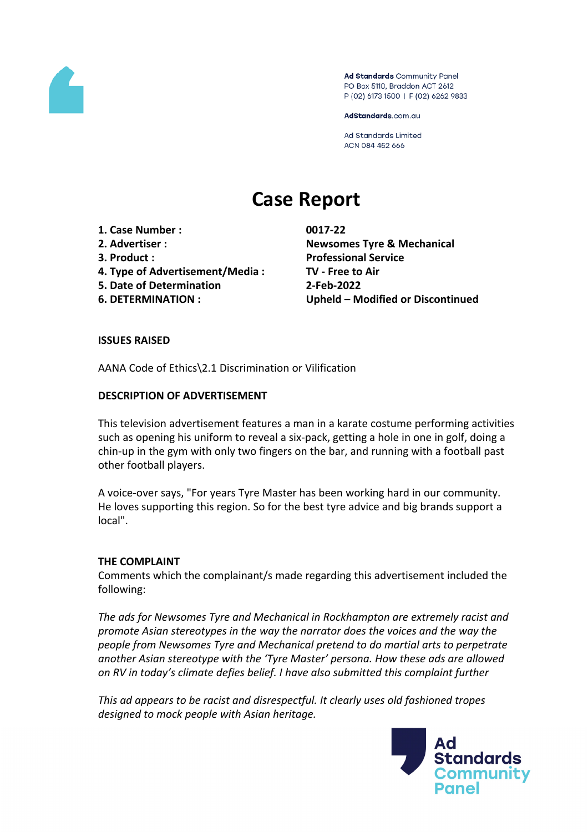

Ad Standards Community Panel PO Box 5110, Braddon ACT 2612 P (02) 6173 1500 | F (02) 6262 9833

AdStandards.com.au

**Ad Standards Limited** ACN 084 452 666

# **Case Report**

- **1. Case Number : 0017-22**
- 
- 
- **4. Type of Advertisement/Media : TV - Free to Air**
- **5. Date of Determination 2-Feb-2022**
- 

**2. Advertiser : Newsomes Tyre & Mechanical 3. Product : Professional Service 6. DETERMINATION : Upheld – Modified or Discontinued**

# **ISSUES RAISED**

AANA Code of Ethics\2.1 Discrimination or Vilification

# **DESCRIPTION OF ADVERTISEMENT**

This television advertisement features a man in a karate costume performing activities such as opening his uniform to reveal a six-pack, getting a hole in one in golf, doing a chin-up in the gym with only two fingers on the bar, and running with a football past other football players.

A voice-over says, "For years Tyre Master has been working hard in our community. He loves supporting this region. So for the best tyre advice and big brands support a local".

## **THE COMPLAINT**

Comments which the complainant/s made regarding this advertisement included the following:

*The ads for Newsomes Tyre and Mechanical in Rockhampton are extremely racist and promote Asian stereotypes in the way the narrator does the voices and the way the people from Newsomes Tyre and Mechanical pretend to do martial arts to perpetrate another Asian stereotype with the 'Tyre Master' persona. How these ads are allowed on RV in today's climate defies belief. I have also submitted this complaint further*

*This ad appears to be racist and disrespectful. It clearly uses old fashioned tropes designed to mock people with Asian heritage.*

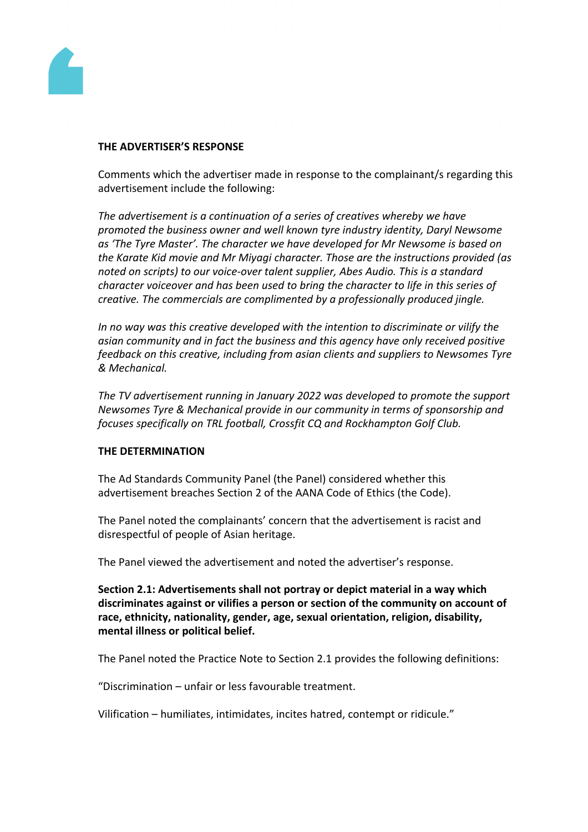

#### **THE ADVERTISER'S RESPONSE**

Comments which the advertiser made in response to the complainant/s regarding this advertisement include the following:

*The advertisement is a continuation of a series of creatives whereby we have promoted the business owner and well known tyre industry identity, Daryl Newsome as 'The Tyre Master'. The character we have developed for Mr Newsome is based on the Karate Kid movie and Mr Miyagi character. Those are the instructions provided (as noted on scripts) to our voice-over talent supplier, Abes Audio. This is a standard character voiceover and has been used to bring the character to life in this series of creative. The commercials are complimented by a professionally produced jingle.*

*In no way was this creative developed with the intention to discriminate or vilify the asian community and in fact the business and this agency have only received positive feedback on this creative, including from asian clients and suppliers to Newsomes Tyre & Mechanical.*

*The TV advertisement running in January 2022 was developed to promote the support Newsomes Tyre & Mechanical provide in our community in terms of sponsorship and focuses specifically on TRL football, Crossfit CQ and Rockhampton Golf Club.*

## **THE DETERMINATION**

The Ad Standards Community Panel (the Panel) considered whether this advertisement breaches Section 2 of the AANA Code of Ethics (the Code).

The Panel noted the complainants' concern that the advertisement is racist and disrespectful of people of Asian heritage.

The Panel viewed the advertisement and noted the advertiser's response.

**Section 2.1: Advertisements shall not portray or depict material in a way which discriminates against or vilifies a person or section of the community on account of race, ethnicity, nationality, gender, age, sexual orientation, religion, disability, mental illness or political belief.**

The Panel noted the Practice Note to Section 2.1 provides the following definitions:

"Discrimination – unfair or less favourable treatment.

Vilification – humiliates, intimidates, incites hatred, contempt or ridicule."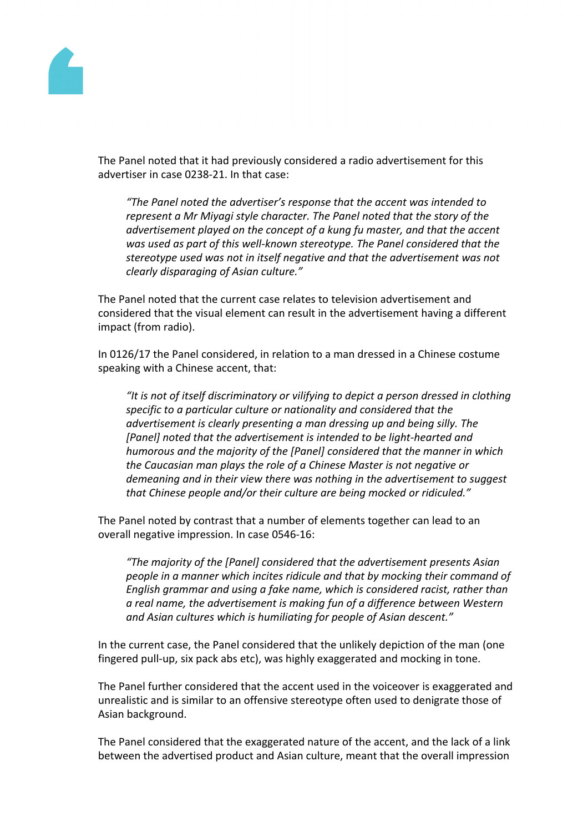

The Panel noted that it had previously considered a radio advertisement for this advertiser in case 0238-21. In that case:

*"The Panel noted the advertiser's response that the accent was intended to represent a Mr Miyagi style character. The Panel noted that the story of the advertisement played on the concept of a kung fu master, and that the accent was used as part of this well-known stereotype. The Panel considered that the stereotype used was not in itself negative and that the advertisement was not clearly disparaging of Asian culture."*

The Panel noted that the current case relates to television advertisement and considered that the visual element can result in the advertisement having a different impact (from radio).

In 0126/17 the Panel considered, in relation to a man dressed in a Chinese costume speaking with a Chinese accent, that:

*"It is not of itself discriminatory or vilifying to depict a person dressed in clothing specific to a particular culture or nationality and considered that the advertisement is clearly presenting a man dressing up and being silly. The [Panel] noted that the advertisement is intended to be light-hearted and humorous and the majority of the [Panel] considered that the manner in which the Caucasian man plays the role of a Chinese Master is not negative or demeaning and in their view there was nothing in the advertisement to suggest that Chinese people and/or their culture are being mocked or ridiculed."*

The Panel noted by contrast that a number of elements together can lead to an overall negative impression. In case 0546-16:

*"The majority of the [Panel] considered that the advertisement presents Asian people in a manner which incites ridicule and that by mocking their command of English grammar and using a fake name, which is considered racist, rather than a real name, the advertisement is making fun of a difference between Western and Asian cultures which is humiliating for people of Asian descent."*

In the current case, the Panel considered that the unlikely depiction of the man (one fingered pull-up, six pack abs etc), was highly exaggerated and mocking in tone.

The Panel further considered that the accent used in the voiceover is exaggerated and unrealistic and is similar to an offensive stereotype often used to denigrate those of Asian background.

The Panel considered that the exaggerated nature of the accent, and the lack of a link between the advertised product and Asian culture, meant that the overall impression